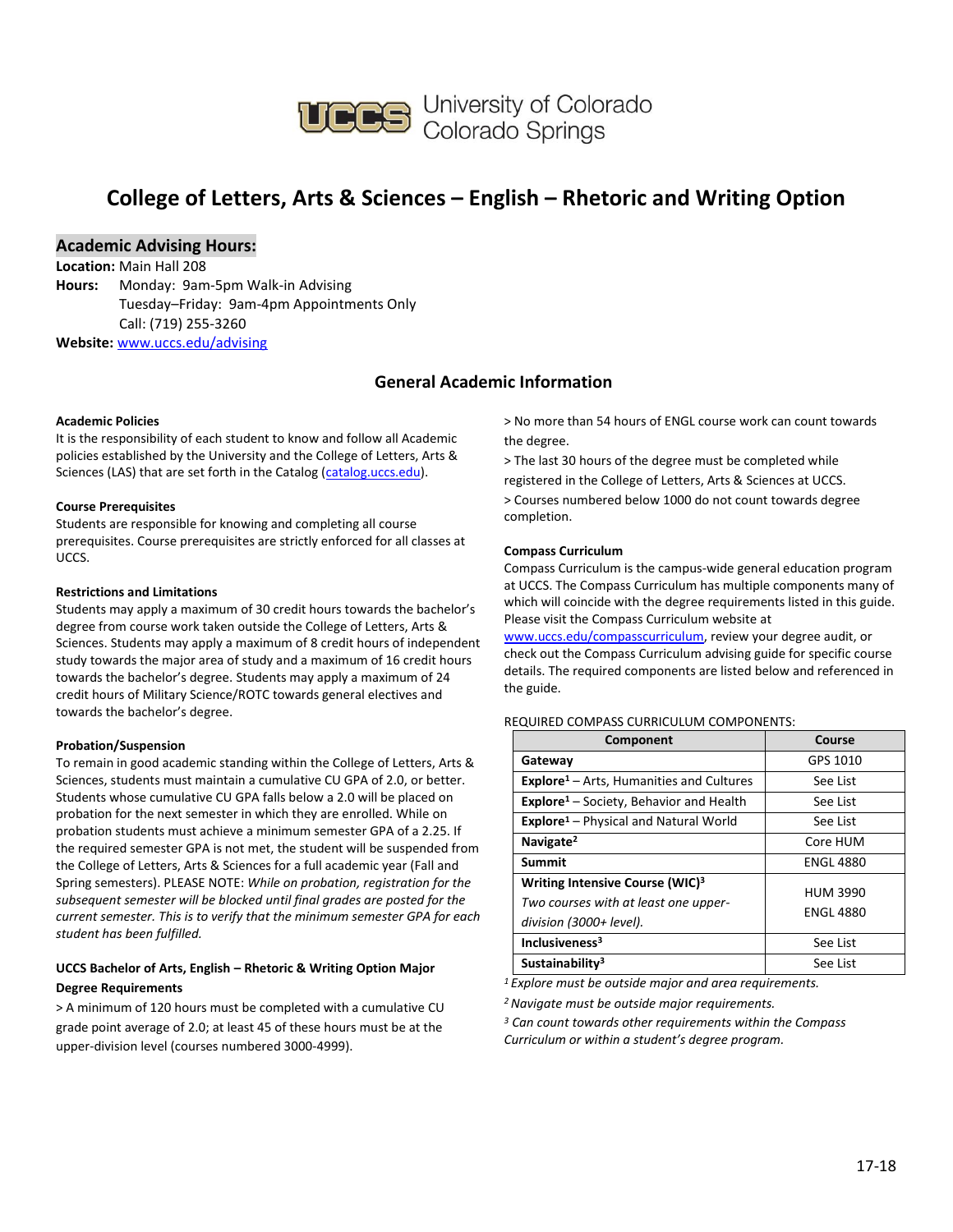

## **College of Letters, Arts & Sciences – English – Rhetoric and Writing Option**

## **Academic Advising Hours:**

**Location:** Main Hall 208 **Hours:** Monday: 9am-5pm Walk-in Advising Tuesday–Friday: 9am-4pm Appointments Only Call: (719) 255-3260 **Website:** [www.uccs.edu/advising](http://www.uccs.edu/advising)

## **General Academic Information**

#### **Academic Policies**

It is the responsibility of each student to know and follow all Academic policies established by the University and the College of Letters, Arts & Sciences (LAS) that are set forth in the Catalog [\(catalog.uccs.edu\)](http://catalog.uccs.edu/).

#### **Course Prerequisites**

Students are responsible for knowing and completing all course prerequisites. Course prerequisites are strictly enforced for all classes at UCCS.

#### **Restrictions and Limitations**

Students may apply a maximum of 30 credit hours towards the bachelor's degree from course work taken outside the College of Letters, Arts & Sciences. Students may apply a maximum of 8 credit hours of independent study towards the major area of study and a maximum of 16 credit hours towards the bachelor's degree. Students may apply a maximum of 24 credit hours of Military Science/ROTC towards general electives and towards the bachelor's degree.

#### **Probation/Suspension**

To remain in good academic standing within the College of Letters, Arts & Sciences, students must maintain a cumulative CU GPA of 2.0, or better. Students whose cumulative CU GPA falls below a 2.0 will be placed on probation for the next semester in which they are enrolled. While on probation students must achieve a minimum semester GPA of a 2.25. If the required semester GPA is not met, the student will be suspended from the College of Letters, Arts & Sciences for a full academic year (Fall and Spring semesters). PLEASE NOTE: *While on probation, registration for the subsequent semester will be blocked until final grades are posted for the current semester. This is to verify that the minimum semester GPA for each student has been fulfilled.*

### **UCCS Bachelor of Arts, English – Rhetoric & Writing Option Major Degree Requirements**

> A minimum of 120 hours must be completed with a cumulative CU grade point average of 2.0; at least 45 of these hours must be at the upper-division level (courses numbered 3000-4999).

> No more than 54 hours of ENGL course work can count towards the degree.

> The last 30 hours of the degree must be completed while registered in the College of Letters, Arts & Sciences at UCCS. > Courses numbered below 1000 do not count towards degree completion.

#### **Compass Curriculum**

Compass Curriculum is the campus-wide general education program at UCCS. The Compass Curriculum has multiple components many of which will coincide with the degree requirements listed in this guide. Please visit the Compass Curriculum website at

[www.uccs.edu/compasscurriculum,](http://www.uccs.edu/compasscurriculum) review your degree audit, or check out the Compass Curriculum advising guide for specific course details. The required components are listed below and referenced in the guide.

### REQUIRED COMPASS CURRICULUM COMPONENTS:

| Component                                                                                                      | Course                              |
|----------------------------------------------------------------------------------------------------------------|-------------------------------------|
| Gateway                                                                                                        | GPS 1010                            |
| <b>Explore</b> <sup>1</sup> – Arts, Humanities and Cultures                                                    | See List                            |
| <b>Explore</b> <sup>1</sup> - Society, Behavior and Health                                                     | See List                            |
| <b>Explore</b> <sup>1</sup> – Physical and Natural World                                                       | See List                            |
| Navigate <sup>2</sup>                                                                                          | Core HUM                            |
| Summit                                                                                                         | <b>ENGL 4880</b>                    |
| Writing Intensive Course (WIC) <sup>3</sup><br>Two courses with at least one upper-<br>division (3000+ level). | <b>HUM 3990</b><br><b>ENGL 4880</b> |
| Inclusiveness <sup>3</sup>                                                                                     | See List                            |
| Sustainability <sup>3</sup>                                                                                    | See List                            |

*<sup>1</sup>Explore must be outside major and area requirements.*

*<sup>2</sup>Navigate must be outside major requirements.*

*<sup>3</sup> Can count towards other requirements within the Compass Curriculum or within a student's degree program.*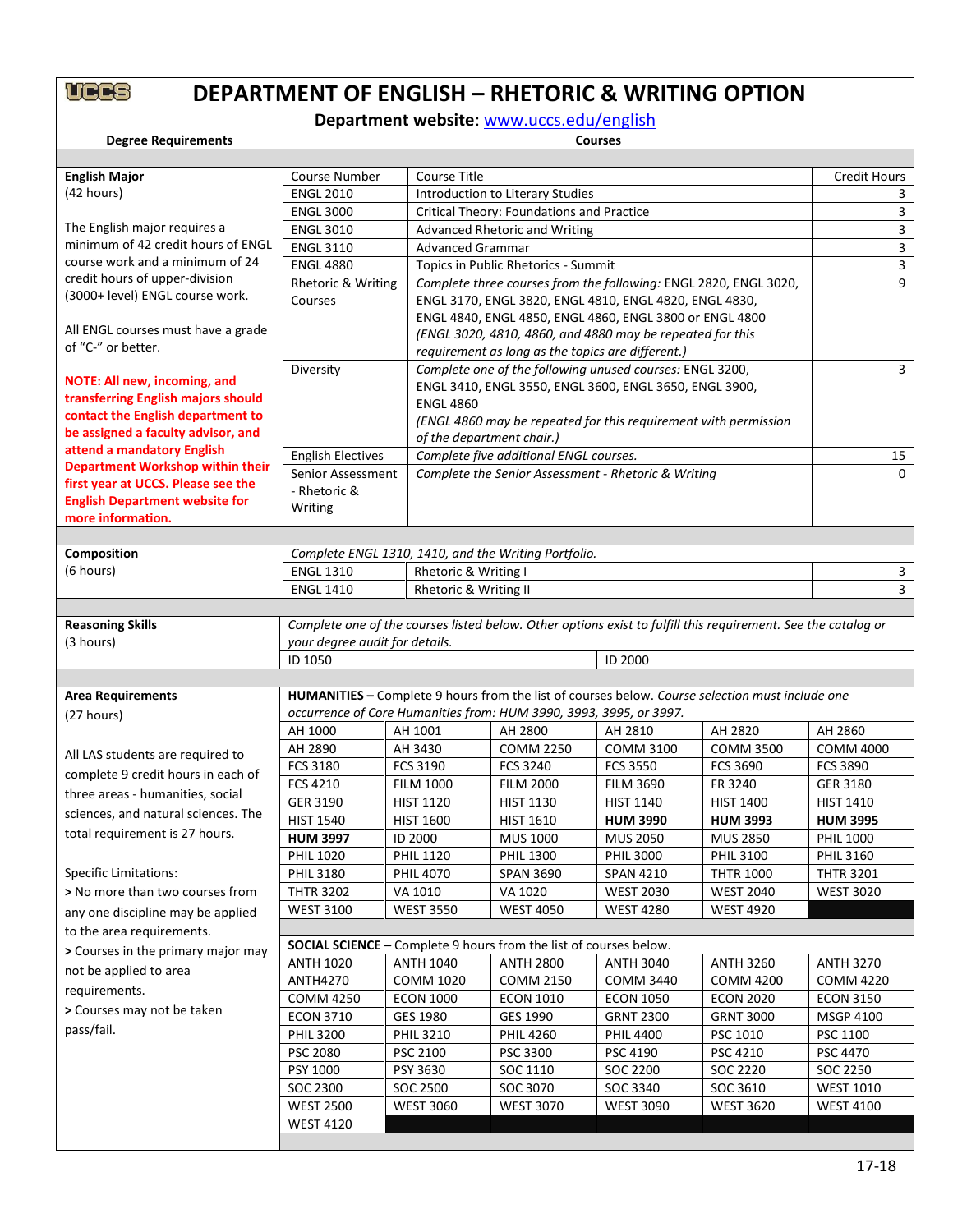## **DEPARTMENT OF ENGLISH – RHETORIC & WRITING OPTION**

**Department website**: [www.uccs.edu/english](http://www.uccs.edu/english)

| <b>Degree Requirements</b>                                            | <b>Courses</b>                 |                                                           |                                                                          |                                                                  |                                                                                                               |                  |  |  |  |
|-----------------------------------------------------------------------|--------------------------------|-----------------------------------------------------------|--------------------------------------------------------------------------|------------------------------------------------------------------|---------------------------------------------------------------------------------------------------------------|------------------|--|--|--|
|                                                                       |                                |                                                           |                                                                          |                                                                  |                                                                                                               |                  |  |  |  |
| <b>English Major</b>                                                  | Course Number                  | Course Title                                              |                                                                          |                                                                  |                                                                                                               |                  |  |  |  |
| (42 hours)                                                            | <b>ENGL 2010</b>               |                                                           | Introduction to Literary Studies                                         |                                                                  |                                                                                                               |                  |  |  |  |
|                                                                       | <b>ENGL 3000</b>               |                                                           | Critical Theory: Foundations and Practice                                |                                                                  |                                                                                                               | 3                |  |  |  |
| The English major requires a                                          | <b>ENGL 3010</b>               | Advanced Rhetoric and Writing                             | 3                                                                        |                                                                  |                                                                                                               |                  |  |  |  |
| minimum of 42 credit hours of ENGL                                    | <b>ENGL 3110</b>               |                                                           | <b>Advanced Grammar</b>                                                  |                                                                  |                                                                                                               |                  |  |  |  |
| course work and a minimum of 24                                       | <b>ENGL 4880</b>               |                                                           | Topics in Public Rhetorics - Summit                                      |                                                                  |                                                                                                               |                  |  |  |  |
| credit hours of upper-division                                        | Rhetoric & Writing             |                                                           |                                                                          | Complete three courses from the following: ENGL 2820, ENGL 3020, |                                                                                                               | 9                |  |  |  |
| (3000+ level) ENGL course work.                                       | Courses                        |                                                           |                                                                          | ENGL 3170, ENGL 3820, ENGL 4810, ENGL 4820, ENGL 4830,           |                                                                                                               |                  |  |  |  |
|                                                                       |                                |                                                           | ENGL 4840, ENGL 4850, ENGL 4860, ENGL 3800 or ENGL 4800                  |                                                                  |                                                                                                               |                  |  |  |  |
| All ENGL courses must have a grade                                    |                                | (ENGL 3020, 4810, 4860, and 4880 may be repeated for this |                                                                          |                                                                  |                                                                                                               |                  |  |  |  |
| of "C-" or better.                                                    |                                | requirement as long as the topics are different.)         |                                                                          |                                                                  |                                                                                                               |                  |  |  |  |
|                                                                       | Diversity                      |                                                           |                                                                          | Complete one of the following unused courses: ENGL 3200,         |                                                                                                               | 3                |  |  |  |
| NOTE: All new, incoming, and                                          |                                |                                                           |                                                                          | ENGL 3410, ENGL 3550, ENGL 3600, ENGL 3650, ENGL 3900,           |                                                                                                               |                  |  |  |  |
| transferring English majors should                                    |                                | <b>ENGL 4860</b>                                          |                                                                          |                                                                  |                                                                                                               |                  |  |  |  |
| contact the English department to                                     |                                |                                                           |                                                                          | (ENGL 4860 may be repeated for this requirement with permission  |                                                                                                               |                  |  |  |  |
| be assigned a faculty advisor, and                                    |                                | of the department chair.)                                 |                                                                          |                                                                  |                                                                                                               |                  |  |  |  |
| attend a mandatory English<br><b>Department Workshop within their</b> | <b>English Electives</b>       |                                                           | Complete five additional ENGL courses.                                   |                                                                  |                                                                                                               | 15               |  |  |  |
| first year at UCCS. Please see the                                    | Senior Assessment              |                                                           |                                                                          | Complete the Senior Assessment - Rhetoric & Writing              |                                                                                                               | 0                |  |  |  |
| <b>English Department website for</b>                                 | - Rhetoric &                   |                                                           |                                                                          |                                                                  |                                                                                                               |                  |  |  |  |
| more information.                                                     | Writing                        |                                                           |                                                                          |                                                                  |                                                                                                               |                  |  |  |  |
|                                                                       |                                |                                                           |                                                                          |                                                                  |                                                                                                               |                  |  |  |  |
| Composition                                                           |                                |                                                           | Complete ENGL 1310, 1410, and the Writing Portfolio.                     |                                                                  |                                                                                                               |                  |  |  |  |
| (6 hours)                                                             | <b>ENGL 1310</b>               | Rhetoric & Writing I                                      |                                                                          |                                                                  |                                                                                                               | 3                |  |  |  |
|                                                                       | <b>ENGL 1410</b>               | Rhetoric & Writing II                                     |                                                                          |                                                                  |                                                                                                               | 3                |  |  |  |
|                                                                       |                                |                                                           |                                                                          |                                                                  |                                                                                                               |                  |  |  |  |
| <b>Reasoning Skills</b>                                               |                                |                                                           |                                                                          |                                                                  | Complete one of the courses listed below. Other options exist to fulfill this requirement. See the catalog or |                  |  |  |  |
| (3 hours)                                                             | your degree audit for details. |                                                           |                                                                          |                                                                  |                                                                                                               |                  |  |  |  |
|                                                                       | ID 1050                        |                                                           |                                                                          | <b>ID 2000</b>                                                   |                                                                                                               |                  |  |  |  |
|                                                                       |                                |                                                           |                                                                          |                                                                  |                                                                                                               |                  |  |  |  |
| <b>Area Requirements</b>                                              |                                |                                                           |                                                                          |                                                                  | HUMANITIES - Complete 9 hours from the list of courses below. Course selection must include one               |                  |  |  |  |
| (27 hours)                                                            |                                |                                                           | occurrence of Core Humanities from: HUM 3990, 3993, 3995, or 3997.       |                                                                  |                                                                                                               |                  |  |  |  |
|                                                                       | AH 1000                        | AH 1001                                                   | AH 2800                                                                  | AH 2810                                                          | AH 2820                                                                                                       | AH 2860          |  |  |  |
| All LAS students are required to                                      | AH 2890                        | AH 3430                                                   | <b>COMM 2250</b>                                                         | <b>COMM 3100</b>                                                 | <b>COMM 3500</b>                                                                                              | <b>COMM 4000</b> |  |  |  |
|                                                                       | FCS 3180                       | <b>FCS 3190</b>                                           | <b>FCS 3240</b>                                                          | <b>FCS 3550</b>                                                  | <b>FCS 3690</b>                                                                                               | <b>FCS 3890</b>  |  |  |  |
| complete 9 credit hours in each of                                    | FCS 4210                       | <b>FILM 1000</b>                                          | <b>FILM 2000</b>                                                         | <b>FILM 3690</b>                                                 | FR 3240                                                                                                       | GER 3180         |  |  |  |
| three areas - humanities, social                                      | GER 3190                       | <b>HIST 1120</b>                                          | <b>HIST 1130</b>                                                         | HIST 1140                                                        | <b>HIST 1400</b>                                                                                              | <b>HIST 1410</b> |  |  |  |
| sciences, and natural sciences. The                                   | <b>HIST 1540</b>               | <b>HIST 1600</b>                                          | <b>HIST 1610</b>                                                         | <b>HUM 3990</b>                                                  | <b>HUM 3993</b>                                                                                               | <b>HUM 3995</b>  |  |  |  |
| total requirement is 27 hours.                                        | <b>HUM 3997</b>                | ID 2000                                                   | <b>MUS 1000</b>                                                          | <b>MUS 2050</b>                                                  | <b>MUS 2850</b>                                                                                               | <b>PHIL 1000</b> |  |  |  |
|                                                                       | <b>PHIL 1020</b>               | <b>PHIL 1120</b>                                          | <b>PHIL 1300</b>                                                         | <b>PHIL 3000</b>                                                 | <b>PHIL 3100</b>                                                                                              | <b>PHIL 3160</b> |  |  |  |
| <b>Specific Limitations:</b>                                          | <b>PHIL 3180</b>               | <b>PHIL 4070</b>                                          | SPAN 3690                                                                | <b>SPAN 4210</b>                                                 | <b>THTR 1000</b>                                                                                              | <b>THTR 3201</b> |  |  |  |
| > No more than two courses from                                       | <b>THTR 3202</b>               | VA 1010                                                   | VA 1020                                                                  | <b>WEST 2030</b>                                                 | <b>WEST 2040</b>                                                                                              | <b>WEST 3020</b> |  |  |  |
| any one discipline may be applied                                     | <b>WEST 3100</b>               | <b>WEST 3550</b>                                          | <b>WEST 4050</b>                                                         | <b>WEST 4280</b>                                                 | <b>WEST 4920</b>                                                                                              |                  |  |  |  |
| to the area requirements.                                             |                                |                                                           |                                                                          |                                                                  |                                                                                                               |                  |  |  |  |
| > Courses in the primary major may                                    |                                |                                                           | <b>SOCIAL SCIENCE - Complete 9 hours from the list of courses below.</b> |                                                                  |                                                                                                               |                  |  |  |  |
| not be applied to area                                                | <b>ANTH 1020</b>               | <b>ANTH 1040</b>                                          | <b>ANTH 2800</b>                                                         | <b>ANTH 3040</b>                                                 | <b>ANTH 3260</b>                                                                                              | <b>ANTH 3270</b> |  |  |  |
| requirements.                                                         | <b>ANTH4270</b>                | <b>COMM 1020</b>                                          | <b>COMM 2150</b>                                                         | <b>COMM 3440</b>                                                 | <b>COMM 4200</b>                                                                                              | <b>COMM 4220</b> |  |  |  |
|                                                                       | <b>COMM 4250</b>               | <b>ECON 1000</b>                                          | <b>ECON 1010</b>                                                         | <b>ECON 1050</b>                                                 | <b>ECON 2020</b>                                                                                              | <b>ECON 3150</b> |  |  |  |
| > Courses may not be taken                                            | <b>ECON 3710</b>               | GES 1980                                                  | GES 1990                                                                 | <b>GRNT 2300</b>                                                 | <b>GRNT 3000</b>                                                                                              | MSGP 4100        |  |  |  |
| pass/fail.                                                            | <b>PHIL 3200</b>               | <b>PHIL 3210</b>                                          | <b>PHIL 4260</b>                                                         | <b>PHIL 4400</b>                                                 | PSC 1010                                                                                                      | PSC 1100         |  |  |  |
|                                                                       | <b>PSC 2080</b>                | PSC 2100                                                  | PSC 3300                                                                 | PSC 4190                                                         | PSC 4210                                                                                                      | PSC 4470         |  |  |  |
|                                                                       | PSY 1000                       | PSY 3630                                                  | SOC 1110                                                                 | SOC 2200                                                         | SOC 2220                                                                                                      | SOC 2250         |  |  |  |
|                                                                       | SOC 2300                       | SOC 2500                                                  | SOC 3070                                                                 | SOC 3340                                                         | SOC 3610                                                                                                      | <b>WEST 1010</b> |  |  |  |
|                                                                       | <b>WEST 2500</b>               | <b>WEST 3060</b>                                          | <b>WEST 3070</b>                                                         | <b>WEST 3090</b>                                                 | <b>WEST 3620</b>                                                                                              | <b>WEST 4100</b> |  |  |  |
|                                                                       | <b>WEST 4120</b>               |                                                           |                                                                          |                                                                  |                                                                                                               |                  |  |  |  |
|                                                                       |                                |                                                           |                                                                          |                                                                  |                                                                                                               |                  |  |  |  |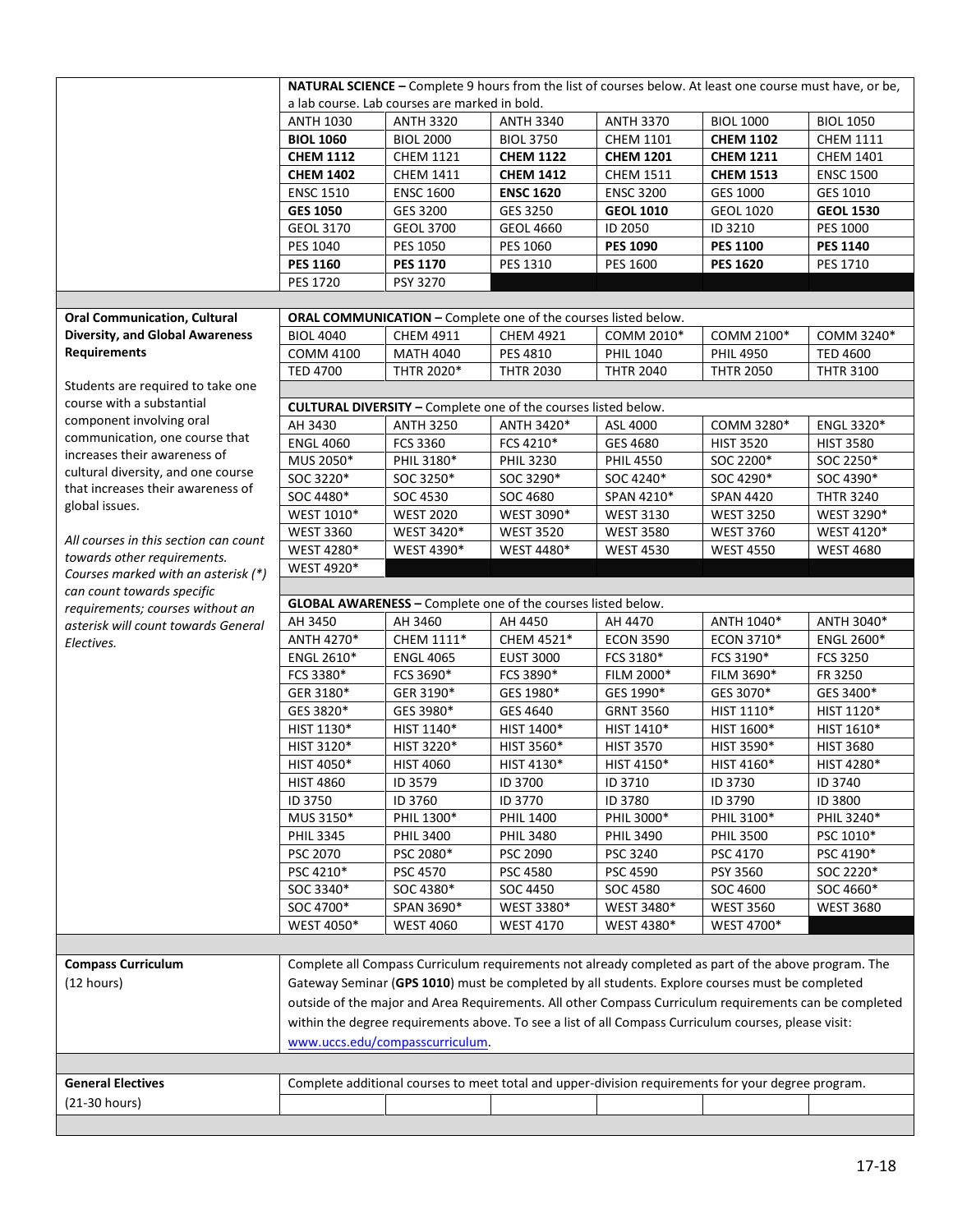|                                                                         | NATURAL SCIENCE - Complete 9 hours from the list of courses below. At least one course must have, or be,                                                                                                  |                                                                |                  |                                                                                                      |                  |                   |  |  |
|-------------------------------------------------------------------------|-----------------------------------------------------------------------------------------------------------------------------------------------------------------------------------------------------------|----------------------------------------------------------------|------------------|------------------------------------------------------------------------------------------------------|------------------|-------------------|--|--|
|                                                                         | a lab course. Lab courses are marked in bold.                                                                                                                                                             |                                                                |                  |                                                                                                      |                  |                   |  |  |
|                                                                         | <b>ANTH 1030</b>                                                                                                                                                                                          | <b>ANTH 3320</b>                                               | <b>ANTH 3340</b> | <b>ANTH 3370</b>                                                                                     | <b>BIOL 1000</b> | <b>BIOL 1050</b>  |  |  |
|                                                                         | <b>BIOL 1060</b>                                                                                                                                                                                          | <b>BIOL 2000</b>                                               | <b>BIOL 3750</b> | <b>CHEM 1101</b>                                                                                     | <b>CHEM 1102</b> | <b>CHEM 1111</b>  |  |  |
|                                                                         | <b>CHEM 1112</b>                                                                                                                                                                                          | <b>CHEM 1121</b>                                               | <b>CHEM 1122</b> | <b>CHEM 1201</b>                                                                                     | <b>CHEM 1211</b> | <b>CHEM 1401</b>  |  |  |
|                                                                         | <b>CHEM 1402</b>                                                                                                                                                                                          | <b>CHEM 1411</b>                                               | <b>CHEM 1412</b> | <b>CHEM 1511</b>                                                                                     | <b>CHEM 1513</b> | <b>ENSC 1500</b>  |  |  |
|                                                                         | <b>ENSC 1510</b>                                                                                                                                                                                          | <b>ENSC 1600</b>                                               | <b>ENSC 1620</b> | <b>ENSC 3200</b>                                                                                     | GES 1000         | GES 1010          |  |  |
|                                                                         | <b>GES 1050</b>                                                                                                                                                                                           | GES 3200                                                       | GES 3250         | <b>GEOL 1010</b>                                                                                     | <b>GEOL 1020</b> | <b>GEOL 1530</b>  |  |  |
|                                                                         | <b>GEOL 3170</b>                                                                                                                                                                                          | <b>GEOL 3700</b>                                               | <b>GEOL 4660</b> | ID 2050                                                                                              | ID 3210          | PES 1000          |  |  |
|                                                                         | PES 1040                                                                                                                                                                                                  | PES 1050                                                       | PES 1060         | <b>PES 1090</b>                                                                                      | <b>PES 1100</b>  | <b>PES 1140</b>   |  |  |
|                                                                         | <b>PES 1160</b>                                                                                                                                                                                           | <b>PES 1170</b>                                                | PES 1310         | PES 1600                                                                                             | <b>PES 1620</b>  | PES 1710          |  |  |
|                                                                         | <b>PES 1720</b>                                                                                                                                                                                           | PSY 3270                                                       |                  |                                                                                                      |                  |                   |  |  |
|                                                                         |                                                                                                                                                                                                           |                                                                |                  |                                                                                                      |                  |                   |  |  |
| <b>Oral Communication, Cultural</b>                                     |                                                                                                                                                                                                           | ORAL COMMUNICATION - Complete one of the courses listed below. |                  |                                                                                                      |                  |                   |  |  |
| <b>Diversity, and Global Awareness</b>                                  | <b>BIOL 4040</b>                                                                                                                                                                                          | <b>CHEM 4911</b>                                               | <b>CHEM 4921</b> | COMM 2010*                                                                                           | COMM 2100*       | COMM 3240*        |  |  |
| <b>Requirements</b>                                                     |                                                                                                                                                                                                           |                                                                |                  |                                                                                                      |                  |                   |  |  |
|                                                                         | <b>COMM 4100</b>                                                                                                                                                                                          | <b>MATH 4040</b>                                               | PES 4810         | PHIL 1040                                                                                            | <b>PHIL 4950</b> | <b>TED 4600</b>   |  |  |
| Students are required to take one                                       | <b>TED 4700</b>                                                                                                                                                                                           | THTR 2020*                                                     | <b>THTR 2030</b> | <b>THTR 2040</b>                                                                                     | <b>THTR 2050</b> | <b>THTR 3100</b>  |  |  |
| course with a substantial                                               |                                                                                                                                                                                                           |                                                                |                  |                                                                                                      |                  |                   |  |  |
| component involving oral                                                |                                                                                                                                                                                                           | CULTURAL DIVERSITY - Complete one of the courses listed below. |                  |                                                                                                      |                  |                   |  |  |
| communication, one course that                                          | AH 3430                                                                                                                                                                                                   | <b>ANTH 3250</b>                                               | ANTH 3420*       | ASL 4000                                                                                             | COMM 3280*       | ENGL 3320*        |  |  |
| increases their awareness of                                            | <b>ENGL 4060</b>                                                                                                                                                                                          | FCS 3360                                                       | FCS 4210*        | GES 4680                                                                                             | <b>HIST 3520</b> | <b>HIST 3580</b>  |  |  |
|                                                                         | MUS 2050*                                                                                                                                                                                                 | PHIL 3180*                                                     | <b>PHIL 3230</b> | <b>PHIL 4550</b>                                                                                     | SOC 2200*        | SOC 2250*         |  |  |
| cultural diversity, and one course<br>that increases their awareness of | SOC 3220*                                                                                                                                                                                                 | SOC 3250*                                                      | SOC 3290*        | SOC 4240*                                                                                            | SOC 4290*        | SOC 4390*         |  |  |
|                                                                         | SOC 4480*                                                                                                                                                                                                 | SOC 4530                                                       | SOC 4680         | SPAN 4210*                                                                                           | <b>SPAN 4420</b> | <b>THTR 3240</b>  |  |  |
| global issues.                                                          | WEST 1010*                                                                                                                                                                                                | <b>WEST 2020</b>                                               | WEST 3090*       | <b>WEST 3130</b>                                                                                     | <b>WEST 3250</b> | WEST 3290*        |  |  |
|                                                                         | <b>WEST 3360</b>                                                                                                                                                                                          | WEST 3420*                                                     | <b>WEST 3520</b> | <b>WEST 3580</b>                                                                                     | <b>WEST 3760</b> | WEST 4120*        |  |  |
| All courses in this section can count                                   | WEST 4280*                                                                                                                                                                                                | WEST 4390*                                                     | WEST 4480*       | <b>WEST 4530</b>                                                                                     | <b>WEST 4550</b> | <b>WEST 4680</b>  |  |  |
| towards other requirements.<br>Courses marked with an asterisk (*)      | WEST 4920*                                                                                                                                                                                                |                                                                |                  |                                                                                                      |                  |                   |  |  |
| can count towards specific                                              |                                                                                                                                                                                                           |                                                                |                  |                                                                                                      |                  |                   |  |  |
| requirements; courses without an                                        |                                                                                                                                                                                                           | GLOBAL AWARENESS - Complete one of the courses listed below.   |                  |                                                                                                      |                  |                   |  |  |
| asterisk will count towards General                                     | AH 3450                                                                                                                                                                                                   | AH 3460                                                        | AH 4450          | AH 4470                                                                                              | ANTH 1040*       | ANTH 3040*        |  |  |
| Electives.                                                              | ANTH 4270*                                                                                                                                                                                                | CHEM 1111*                                                     | CHEM 4521*       | <b>ECON 3590</b>                                                                                     | ECON 3710*       | <b>ENGL 2600*</b> |  |  |
|                                                                         | <b>ENGL 2610*</b>                                                                                                                                                                                         | <b>ENGL 4065</b>                                               | <b>EUST 3000</b> | FCS 3180*                                                                                            | FCS 3190*        | <b>FCS 3250</b>   |  |  |
|                                                                         | FCS 3380*                                                                                                                                                                                                 | FCS 3690*                                                      | FCS 3890*        | FILM 2000*                                                                                           | FILM 3690*       | FR 3250           |  |  |
|                                                                         | GER 3180*                                                                                                                                                                                                 | GER 3190*                                                      | GES 1980*        | GES 1990*                                                                                            | GES 3070*        | GES 3400*         |  |  |
|                                                                         | GES 3820*                                                                                                                                                                                                 | GES 3980*                                                      | GES 4640         | <b>GRNT 3560</b>                                                                                     | HIST 1110*       | HIST 1120*        |  |  |
|                                                                         | HIST 1130*                                                                                                                                                                                                | HIST 1140*                                                     | HIST 1400*       | HIST 1410*                                                                                           | HIST 1600*       | HIST 1610*        |  |  |
|                                                                         |                                                                                                                                                                                                           |                                                                |                  |                                                                                                      |                  |                   |  |  |
|                                                                         | HIST 3120*                                                                                                                                                                                                | HIST 3220*                                                     | HIST 3560*       | <b>HIST 3570</b>                                                                                     | HIST 3590*       | <b>HIST 3680</b>  |  |  |
|                                                                         | HIST 4050*                                                                                                                                                                                                | <b>HIST 4060</b>                                               | HIST 4130*       | HIST 4150*                                                                                           | HIST 4160*       | HIST 4280*        |  |  |
|                                                                         | <b>HIST 4860</b>                                                                                                                                                                                          | ID 3579                                                        | ID 3700          | ID 3710                                                                                              | ID 3730          | ID 3740           |  |  |
|                                                                         | ID 3750                                                                                                                                                                                                   | ID 3760                                                        | ID 3770          | ID 3780                                                                                              | ID 3790          | ID 3800           |  |  |
|                                                                         | MUS 3150*                                                                                                                                                                                                 | PHIL 1300*                                                     | <b>PHIL 1400</b> | PHIL 3000*                                                                                           | PHIL 3100*       | PHIL 3240*        |  |  |
|                                                                         | <b>PHIL 3345</b>                                                                                                                                                                                          | <b>PHIL 3400</b>                                               | <b>PHIL 3480</b> | <b>PHIL 3490</b>                                                                                     | <b>PHIL 3500</b> | PSC 1010*         |  |  |
|                                                                         | PSC 2070                                                                                                                                                                                                  | PSC 2080*                                                      | PSC 2090         | PSC 3240                                                                                             | PSC 4170         | PSC 4190*         |  |  |
|                                                                         | PSC 4210*                                                                                                                                                                                                 | PSC 4570                                                       | PSC 4580         | PSC 4590                                                                                             | PSY 3560         | SOC 2220*         |  |  |
|                                                                         | SOC 3340*                                                                                                                                                                                                 | SOC 4380*                                                      | SOC 4450         | SOC 4580                                                                                             | SOC 4600         | SOC 4660*         |  |  |
|                                                                         | SOC 4700*                                                                                                                                                                                                 | SPAN 3690*                                                     | WEST 3380*       | WEST 3480*                                                                                           | <b>WEST 3560</b> | <b>WEST 3680</b>  |  |  |
|                                                                         | WEST 4050*                                                                                                                                                                                                | <b>WEST 4060</b>                                               | <b>WEST 4170</b> | WEST 4380*                                                                                           | WEST 4700*       |                   |  |  |
|                                                                         |                                                                                                                                                                                                           |                                                                |                  |                                                                                                      |                  |                   |  |  |
| <b>Compass Curriculum</b>                                               |                                                                                                                                                                                                           |                                                                |                  | Complete all Compass Curriculum requirements not already completed as part of the above program. The |                  |                   |  |  |
| (12 hours)                                                              |                                                                                                                                                                                                           |                                                                |                  |                                                                                                      |                  |                   |  |  |
|                                                                         | Gateway Seminar (GPS 1010) must be completed by all students. Explore courses must be completed<br>outside of the major and Area Requirements. All other Compass Curriculum requirements can be completed |                                                                |                  |                                                                                                      |                  |                   |  |  |
|                                                                         |                                                                                                                                                                                                           |                                                                |                  |                                                                                                      |                  |                   |  |  |
|                                                                         |                                                                                                                                                                                                           |                                                                |                  | within the degree requirements above. To see a list of all Compass Curriculum courses, please visit: |                  |                   |  |  |
|                                                                         |                                                                                                                                                                                                           | www.uccs.edu/compasscurriculum.                                |                  |                                                                                                      |                  |                   |  |  |
|                                                                         |                                                                                                                                                                                                           |                                                                |                  |                                                                                                      |                  |                   |  |  |
| <b>General Electives</b>                                                |                                                                                                                                                                                                           |                                                                |                  | Complete additional courses to meet total and upper-division requirements for your degree program.   |                  |                   |  |  |
| (21-30 hours)                                                           |                                                                                                                                                                                                           |                                                                |                  |                                                                                                      |                  |                   |  |  |
|                                                                         |                                                                                                                                                                                                           |                                                                |                  |                                                                                                      |                  |                   |  |  |
|                                                                         |                                                                                                                                                                                                           |                                                                |                  |                                                                                                      |                  |                   |  |  |